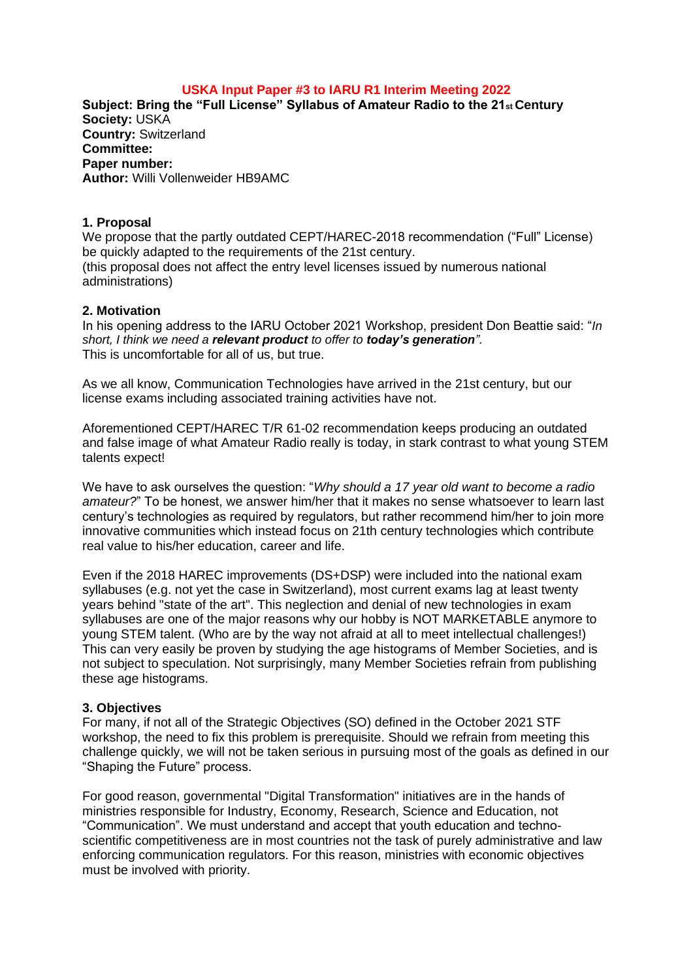# **USKA Input Paper #3 to IARU R1 Interim Meeting 2022**

**Subject: Bring the "Full License" Syllabus of Amateur Radio to the 21st Century Society:** USKA **Country:** Switzerland **Committee: Paper number: Author:** Willi Vollenweider HB9AMC

## **1. Proposal**

We propose that the partly outdated CEPT/HAREC-2018 recommendation ("Full" License) be quickly adapted to the requirements of the 21st century. (this proposal does not affect the entry level licenses issued by numerous national administrations)

## **2. Motivation**

In his opening address to the IARU October 2021 Workshop, president Don Beattie said: "*In short, I think we need a relevant product to offer to today's generation".* This is uncomfortable for all of us, but true.

As we all know, Communication Technologies have arrived in the 21st century, but our license exams including associated training activities have not.

Aforementioned CEPT/HAREC T/R 61-02 recommendation keeps producing an outdated and false image of what Amateur Radio really is today, in stark contrast to what young STEM talents expect!

We have to ask ourselves the question: "*Why should a 17 year old want to become a radio amateur?*" To be honest, we answer him/her that it makes no sense whatsoever to learn last century's technologies as required by regulators, but rather recommend him/her to join more innovative communities which instead focus on 21th century technologies which contribute real value to his/her education, career and life.

Even if the 2018 HAREC improvements (DS+DSP) were included into the national exam syllabuses (e.g. not yet the case in Switzerland), most current exams lag at least twenty years behind "state of the art". This neglection and denial of new technologies in exam syllabuses are one of the major reasons why our hobby is NOT MARKETABLE anymore to young STEM talent. (Who are by the way not afraid at all to meet intellectual challenges!) This can very easily be proven by studying the age histograms of Member Societies, and is not subject to speculation. Not surprisingly, many Member Societies refrain from publishing these age histograms.

#### **3. Objectives**

For many, if not all of the Strategic Objectives (SO) defined in the October 2021 STF workshop, the need to fix this problem is prerequisite. Should we refrain from meeting this challenge quickly, we will not be taken serious in pursuing most of the goals as defined in our "Shaping the Future" process.

For good reason, governmental "Digital Transformation" initiatives are in the hands of ministries responsible for Industry, Economy, Research, Science and Education, not "Communication". We must understand and accept that youth education and technoscientific competitiveness are in most countries not the task of purely administrative and law enforcing communication regulators. For this reason, ministries with economic objectives must be involved with priority.